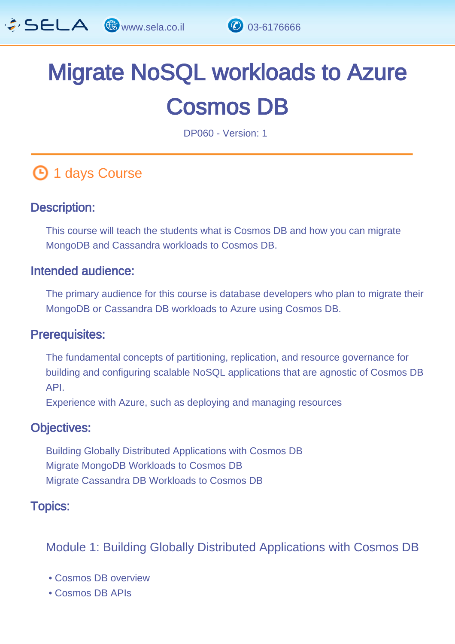

# Migrate NoSQL workloads to Azure Cosmos DB

DP060 - Version: 1

# **1 days Course**

#### Description: Ĩ

This course will teach the students what is Cosmos DB and how you can migrate MongoDB and Cassandra workloads to Cosmos DB.

#### Intended audience: Ï

The primary audience for this course is database developers who plan to migrate their MongoDB or Cassandra DB workloads to Azure using Cosmos DB.

#### Prerequisites: L,

The fundamental concepts of partitioning, replication, and resource governance for building and configuring scalable NoSQL applications that are agnostic of Cosmos DB API.

Experience with Azure, such as deploying and managing resources

#### Objectives: Ĭ

Building Globally Distributed Applications with Cosmos DB Migrate MongoDB Workloads to Cosmos DB Migrate Cassandra DB Workloads to Cosmos DB

#### Topics: J.

Module 1: Building Globally Distributed Applications with Cosmos DB

- Cosmos DB overview
- Cosmos DB APIs